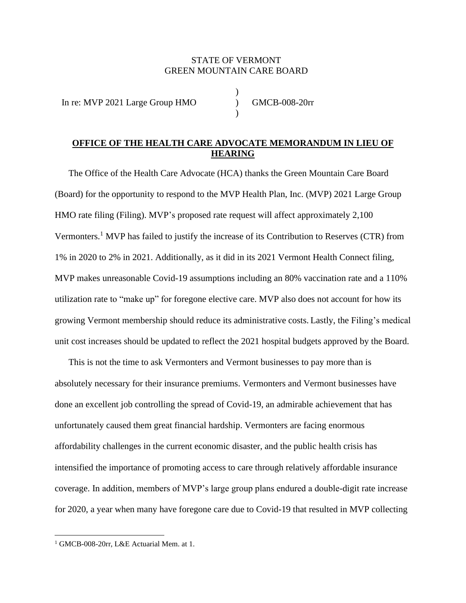# STATE OF VERMONT GREEN MOUNTAIN CARE BOARD

)

)

In re: MVP 2021 Large Group HMO (GMCB-008-20rr)

# **OFFICE OF THE HEALTH CARE ADVOCATE MEMORANDUM IN LIEU OF HEARING**

The Office of the Health Care Advocate (HCA) thanks the Green Mountain Care Board (Board) for the opportunity to respond to the MVP Health Plan, Inc. (MVP) 2021 Large Group HMO rate filing (Filing). MVP's proposed rate request will affect approximately 2,100 Vermonters. <sup>1</sup> MVP has failed to justify the increase of its Contribution to Reserves (CTR) from 1% in 2020 to 2% in 2021. Additionally, as it did in its 2021 Vermont Health Connect filing, MVP makes unreasonable Covid-19 assumptions including an 80% vaccination rate and a 110% utilization rate to "make up" for foregone elective care. MVP also does not account for how its growing Vermont membership should reduce its administrative costs. Lastly, the Filing's medical unit cost increases should be updated to reflect the 2021 hospital budgets approved by the Board.

This is not the time to ask Vermonters and Vermont businesses to pay more than is absolutely necessary for their insurance premiums. Vermonters and Vermont businesses have done an excellent job controlling the spread of Covid-19, an admirable achievement that has unfortunately caused them great financial hardship. Vermonters are facing enormous affordability challenges in the current economic disaster, and the public health crisis has intensified the importance of promoting access to care through relatively affordable insurance coverage. In addition, members of MVP's large group plans endured a double-digit rate increase for 2020, a year when many have foregone care due to Covid-19 that resulted in MVP collecting

<sup>&</sup>lt;sup>1</sup> GMCB-008-20rr, L&E Actuarial Mem. at 1.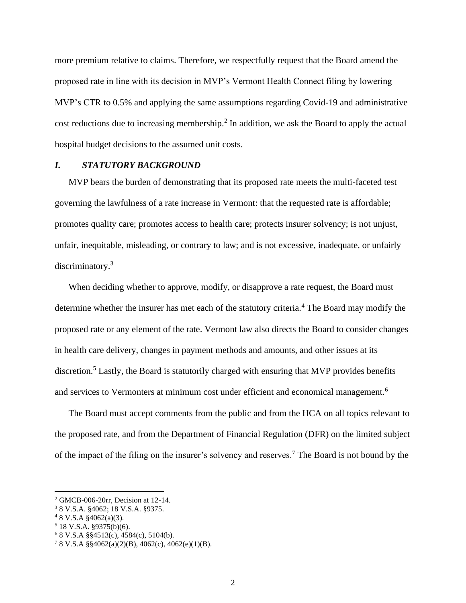more premium relative to claims. Therefore, we respectfully request that the Board amend the proposed rate in line with its decision in MVP's Vermont Health Connect filing by lowering MVP's CTR to 0.5% and applying the same assumptions regarding Covid-19 and administrative cost reductions due to increasing membership.<sup>2</sup> In addition, we ask the Board to apply the actual hospital budget decisions to the assumed unit costs.

## *I. STATUTORY BACKGROUND*

MVP bears the burden of demonstrating that its proposed rate meets the multi-faceted test governing the lawfulness of a rate increase in Vermont: that the requested rate is affordable; promotes quality care; promotes access to health care; protects insurer solvency; is not unjust, unfair, inequitable, misleading, or contrary to law; and is not excessive, inadequate, or unfairly discriminatory.<sup>3</sup>

When deciding whether to approve, modify, or disapprove a rate request, the Board must determine whether the insurer has met each of the statutory criteria.<sup>4</sup> The Board may modify the proposed rate or any element of the rate. Vermont law also directs the Board to consider changes in health care delivery, changes in payment methods and amounts, and other issues at its discretion.<sup>5</sup> Lastly, the Board is statutorily charged with ensuring that MVP provides benefits and services to Vermonters at minimum cost under efficient and economical management.<sup>6</sup>

The Board must accept comments from the public and from the HCA on all topics relevant to the proposed rate, and from the Department of Financial Regulation (DFR) on the limited subject of the impact of the filing on the insurer's solvency and reserves.<sup>7</sup> The Board is not bound by the

<sup>2</sup> GMCB-006-20rr, Decision at 12-14.

<sup>3</sup> 8 V.S.A. §4062; 18 V.S.A. §9375.

 $48$  V.S.A  $§$ 4062(a)(3).

 $5$  18 V.S.A. §9375(b)(6).

<sup>6</sup> 8 V.S.A §§4513(c), 4584(c), 5104(b).

<sup>7</sup> 8 V.S.A §§4062(a)(2)(B), 4062(c), 4062(e)(1)(B).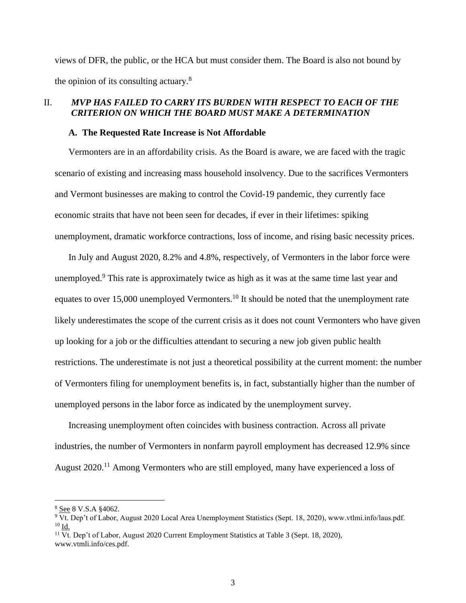views of DFR, the public, or the HCA but must consider them. The Board is also not bound by the opinion of its consulting actuary.<sup>8</sup>

## II. *MVP HAS FAILED TO CARRY ITS BURDEN WITH RESPECT TO EACH OF THE CRITERION ON WHICH THE BOARD MUST MAKE A DETERMINATION*

#### **A. The Requested Rate Increase is Not Affordable**

Vermonters are in an affordability crisis. As the Board is aware, we are faced with the tragic scenario of existing and increasing mass household insolvency. Due to the sacrifices Vermonters and Vermont businesses are making to control the Covid-19 pandemic, they currently face economic straits that have not been seen for decades, if ever in their lifetimes: spiking unemployment, dramatic workforce contractions, loss of income, and rising basic necessity prices.

In July and August 2020, 8.2% and 4.8%, respectively, of Vermonters in the labor force were unemployed.<sup>9</sup> This rate is approximately twice as high as it was at the same time last year and equates to over 15,000 unemployed Vermonters.<sup>10</sup> It should be noted that the unemployment rate likely underestimates the scope of the current crisis as it does not count Vermonters who have given up looking for a job or the difficulties attendant to securing a new job given public health restrictions. The underestimate is not just a theoretical possibility at the current moment: the number of Vermonters filing for unemployment benefits is, in fact, substantially higher than the number of unemployed persons in the labor force as indicated by the unemployment survey.

Increasing unemployment often coincides with business contraction. Across all private industries, the number of Vermonters in nonfarm payroll employment has decreased 12.9% since August 2020.<sup>11</sup> Among Vermonters who are still employed, many have experienced a loss of

<sup>8</sup> See 8 V.S.A §4062.

 $9\overline{Vt}$ . Dep't of Labor, August 2020 Local Area Unemployment Statistics (Sept. 18, 2020), www.vtlmi.info/laus.pdf.  $10$   $\underline{\text{Id}}$ .

<sup>&</sup>lt;sup>11</sup> Vt. Dep't of Labor, August 2020 Current Employment Statistics at Table 3 (Sept. 18, 2020), www.vtmli.info/ces.pdf.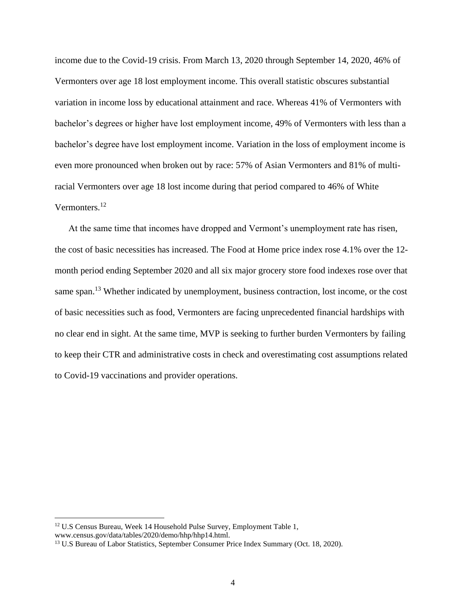income due to the Covid-19 crisis. From March 13, 2020 through September 14, 2020, 46% of Vermonters over age 18 lost employment income. This overall statistic obscures substantial variation in income loss by educational attainment and race. Whereas 41% of Vermonters with bachelor's degrees or higher have lost employment income, 49% of Vermonters with less than a bachelor's degree have lost employment income. Variation in the loss of employment income is even more pronounced when broken out by race: 57% of Asian Vermonters and 81% of multiracial Vermonters over age 18 lost income during that period compared to 46% of White Vermonters. 12

At the same time that incomes have dropped and Vermont's unemployment rate has risen, the cost of basic necessities has increased. The Food at Home price index rose 4.1% over the 12 month period ending September 2020 and all six major grocery store food indexes rose over that same span.<sup>13</sup> Whether indicated by unemployment, business contraction, lost income, or the cost of basic necessities such as food, Vermonters are facing unprecedented financial hardships with no clear end in sight. At the same time, MVP is seeking to further burden Vermonters by failing to keep their CTR and administrative costs in check and overestimating cost assumptions related to Covid-19 vaccinations and provider operations.

<sup>&</sup>lt;sup>12</sup> U.S Census Bureau, Week 14 Household Pulse Survey, Employment Table 1, www.census.gov/data/tables/2020/demo/hhp/hhp14.html.

<sup>&</sup>lt;sup>13</sup> U.S Bureau of Labor Statistics, September Consumer Price Index Summary (Oct. 18, 2020).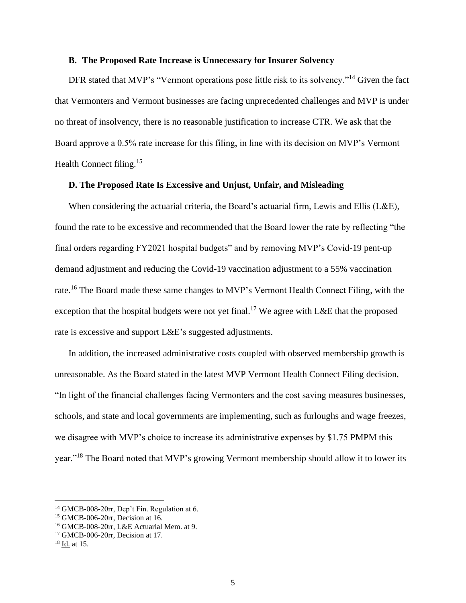### **B. The Proposed Rate Increase is Unnecessary for Insurer Solvency**

DFR stated that MVP's "Vermont operations pose little risk to its solvency."<sup>14</sup> Given the fact that Vermonters and Vermont businesses are facing unprecedented challenges and MVP is under no threat of insolvency, there is no reasonable justification to increase CTR. We ask that the Board approve a 0.5% rate increase for this filing, in line with its decision on MVP's Vermont Health Connect filing.<sup>15</sup>

### **D. The Proposed Rate Is Excessive and Unjust, Unfair, and Misleading**

When considering the actuarial criteria, the Board's actuarial firm, Lewis and Ellis ( $L&E$ ), found the rate to be excessive and recommended that the Board lower the rate by reflecting "the final orders regarding FY2021 hospital budgets" and by removing MVP's Covid-19 pent-up demand adjustment and reducing the Covid-19 vaccination adjustment to a 55% vaccination rate.<sup>16</sup> The Board made these same changes to MVP's Vermont Health Connect Filing, with the exception that the hospital budgets were not yet final.<sup>17</sup> We agree with L&E that the proposed rate is excessive and support L&E's suggested adjustments.

In addition, the increased administrative costs coupled with observed membership growth is unreasonable. As the Board stated in the latest MVP Vermont Health Connect Filing decision, "In light of the financial challenges facing Vermonters and the cost saving measures businesses, schools, and state and local governments are implementing, such as furloughs and wage freezes, we disagree with MVP's choice to increase its administrative expenses by \$1.75 PMPM this year."<sup>18</sup> The Board noted that MVP's growing Vermont membership should allow it to lower its

<sup>&</sup>lt;sup>14</sup> GMCB-008-20rr, Dep't Fin. Regulation at 6.

<sup>15</sup> GMCB-006-20rr, Decision at 16.

<sup>16</sup> GMCB-008-20rr, L&E Actuarial Mem. at 9.

<sup>17</sup> GMCB-006-20rr, Decision at 17.

<sup>18</sup> Id. at 15.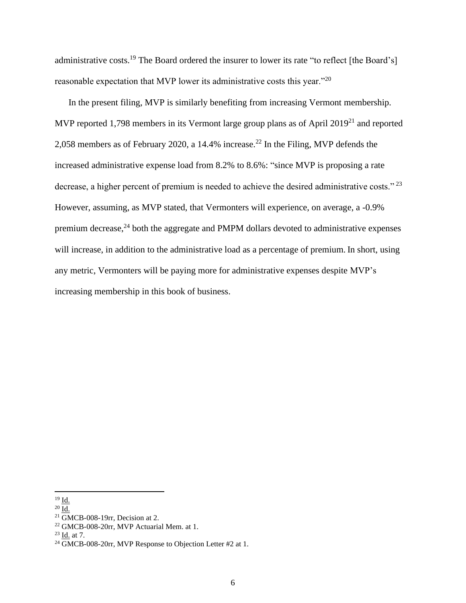administrative costs.<sup>19</sup> The Board ordered the insurer to lower its rate "to reflect [the Board's] reasonable expectation that MVP lower its administrative costs this year."<sup>20</sup>

In the present filing, MVP is similarly benefiting from increasing Vermont membership. MVP reported 1,798 members in its Vermont large group plans as of April 2019<sup>21</sup> and reported 2,058 members as of February 2020, a 14.4% increase. <sup>22</sup> In the Filing, MVP defends the increased administrative expense load from 8.2% to 8.6%: "since MVP is proposing a rate decrease, a higher percent of premium is needed to achieve the desired administrative costs."<sup>23</sup> However, assuming, as MVP stated, that Vermonters will experience, on average, a -0.9% premium decrease, $^{24}$  both the aggregate and PMPM dollars devoted to administrative expenses will increase, in addition to the administrative load as a percentage of premium. In short, using any metric, Vermonters will be paying more for administrative expenses despite MVP's increasing membership in this book of business.

<sup>19</sup> Id.

 $20 \overline{\mathrm{Id}}$ .

 $21$  GMCB-008-19rr, Decision at 2.

<sup>22</sup> GMCB-008-20rr, MVP Actuarial Mem. at 1.

 $^{23}$  Id. at 7.

<sup>24</sup> GMCB-008-20rr, MVP Response to Objection Letter #2 at 1.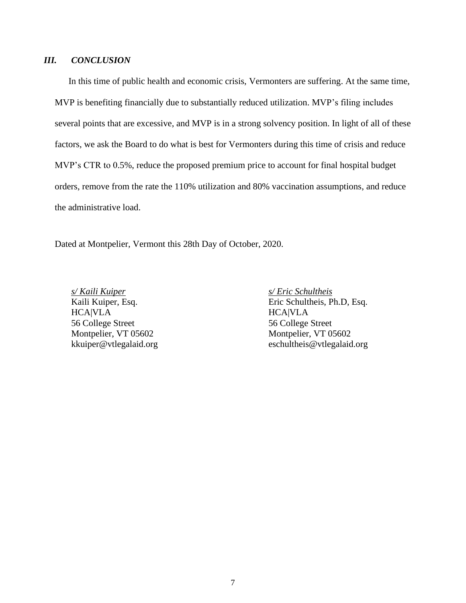# *III. CONCLUSION*

In this time of public health and economic crisis, Vermonters are suffering. At the same time, MVP is benefiting financially due to substantially reduced utilization. MVP's filing includes several points that are excessive, and MVP is in a strong solvency position. In light of all of these factors, we ask the Board to do what is best for Vermonters during this time of crisis and reduce MVP's CTR to 0.5%, reduce the proposed premium price to account for final hospital budget orders, remove from the rate the 110% utilization and 80% vaccination assumptions, and reduce the administrative load.

Dated at Montpelier, Vermont this 28th Day of October, 2020.

*s/ Kaili Kuiper s/ Eric Schultheis* HCA|VLA HCA|VLA 56 College Street 56 College Street

Kaili Kuiper, Esq. Eric Schultheis, Ph.D, Esq. Montpelier, VT 05602 Montpelier, VT 05602 kkuiper@vtlegalaid.org eschultheis@vtlegalaid.org